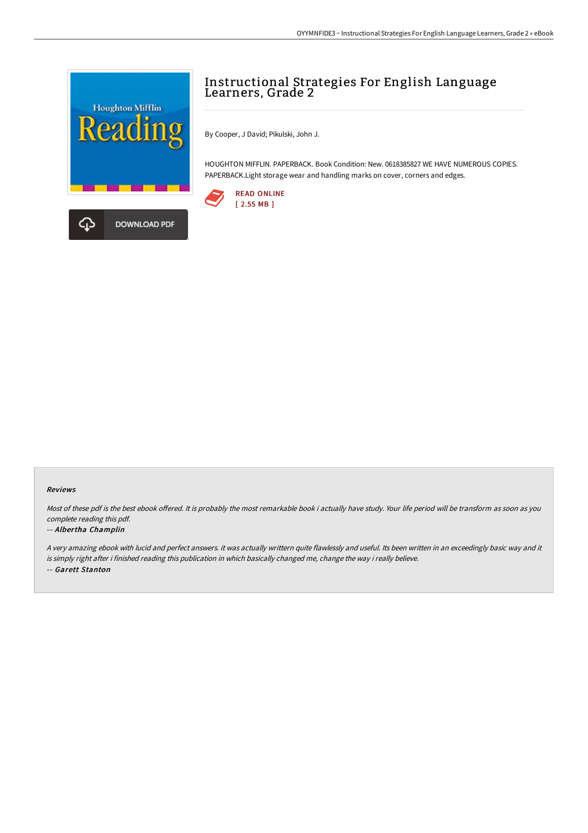

# Instructional Strategies For English Language Learners, Grade 2

By Cooper, J David; Pikulski, John J.

HOUGHTON MIFFLIN. PAPERBACK. Book Condition: New. 0618385827 WE HAVE NUMEROUS COPIES. PAPERBACK.Light storage wear and handling marks on cover, corners and edges.



#### Reviews

Most of these pdf is the best ebook offered. It is probably the most remarkable book i actually have study. Your life period will be transform as soon as you complete reading this pdf.

#### -- Albertha Champlin

<sup>A</sup> very amazing ebook with lucid and perfect answers. it was actually writtern quite flawlessly and useful. Its been written in an exceedingly basic way and it is simply right after i finished reading this publication in which basically changed me, change the way i really believe. -- Garett Stanton